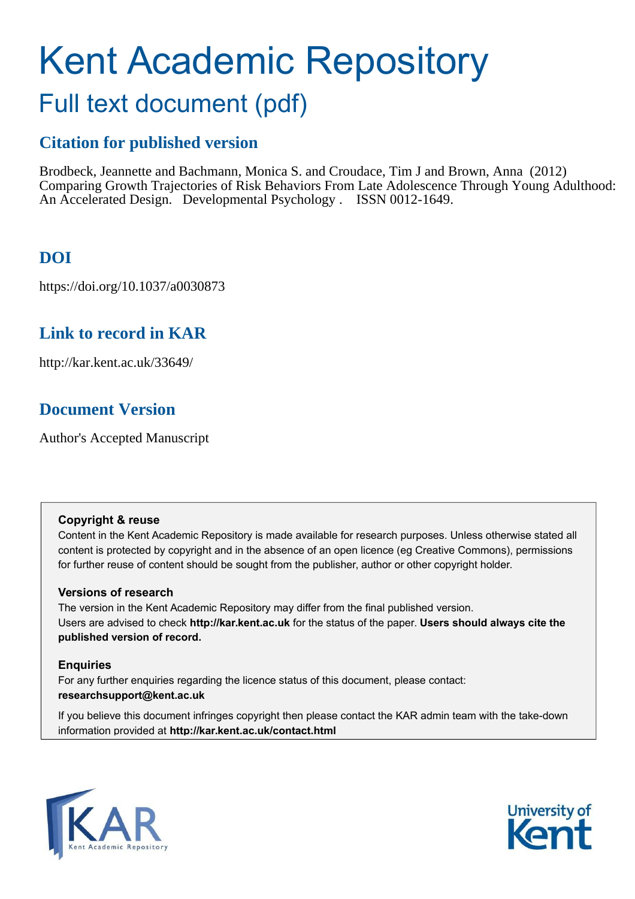# Kent Academic Repository

## Full text document (pdf)

## **Citation for published version**

Brodbeck, Jeannette and Bachmann, Monica S. and Croudace, Tim J and Brown, Anna (2012) Comparing Growth Trajectories of Risk Behaviors From Late Adolescence Through Young Adulthood: An Accelerated Design. Developmental Psychology . ISSN 0012-1649.

## **DOI**

https://doi.org/10.1037/a0030873

## **Link to record in KAR**

http://kar.kent.ac.uk/33649/

## **Document Version**

Author's Accepted Manuscript

#### **Copyright & reuse**

Content in the Kent Academic Repository is made available for research purposes. Unless otherwise stated all content is protected by copyright and in the absence of an open licence (eg Creative Commons), permissions for further reuse of content should be sought from the publisher, author or other copyright holder.

#### **Versions of research**

The version in the Kent Academic Repository may differ from the final published version. Users are advised to check **http://kar.kent.ac.uk** for the status of the paper. **Users should always cite the published version of record.**

#### **Enquiries**

For any further enquiries regarding the licence status of this document, please contact: **researchsupport@kent.ac.uk**

If you believe this document infringes copyright then please contact the KAR admin team with the take-down information provided at **http://kar.kent.ac.uk/contact.html**



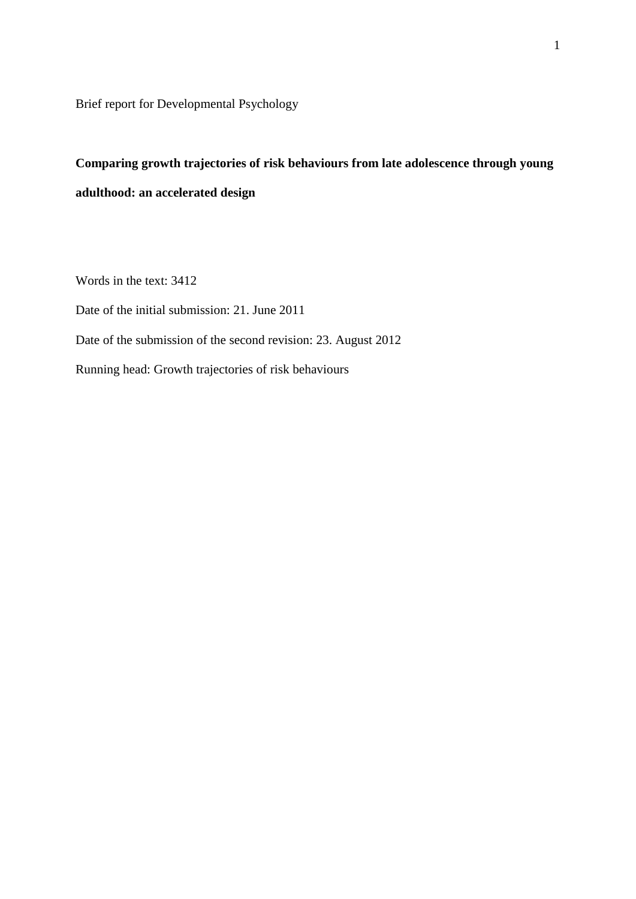Brief report for Developmental Psychology

## **Comparing growth trajectories of risk behaviours from late adolescence through young adulthood: an accelerated design**

Words in the text: 3412

Date of the initial submission: 21. June 2011

Date of the submission of the second revision: 23. August 2012

Running head: Growth trajectories of risk behaviours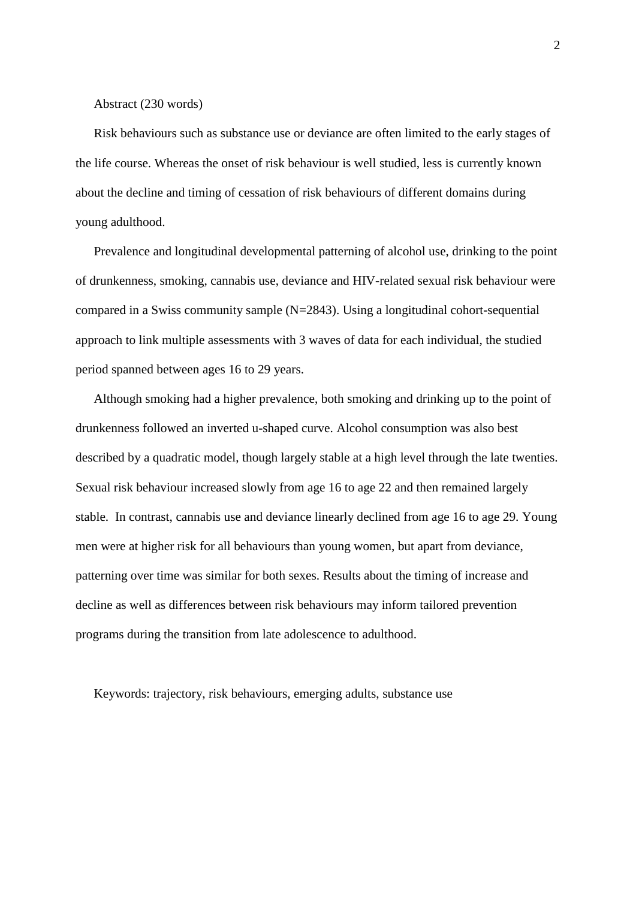Abstract (230 words)

Risk behaviours such as substance use or deviance are often limited to the early stages of the life course. Whereas the onset of risk behaviour is well studied, less is currently known about the decline and timing of cessation of risk behaviours of different domains during young adulthood.

Prevalence and longitudinal developmental patterning of alcohol use, drinking to the point of drunkenness, smoking, cannabis use, deviance and HIV-related sexual risk behaviour were compared in a Swiss community sample (N=2843). Using a longitudinal cohort-sequential approach to link multiple assessments with 3 waves of data for each individual, the studied period spanned between ages 16 to 29 years.

Although smoking had a higher prevalence, both smoking and drinking up to the point of drunkenness followed an inverted u-shaped curve. Alcohol consumption was also best described by a quadratic model, though largely stable at a high level through the late twenties. Sexual risk behaviour increased slowly from age 16 to age 22 and then remained largely stable. In contrast, cannabis use and deviance linearly declined from age 16 to age 29. Young men were at higher risk for all behaviours than young women, but apart from deviance, patterning over time was similar for both sexes. Results about the timing of increase and decline as well as differences between risk behaviours may inform tailored prevention programs during the transition from late adolescence to adulthood.

Keywords: trajectory, risk behaviours, emerging adults, substance use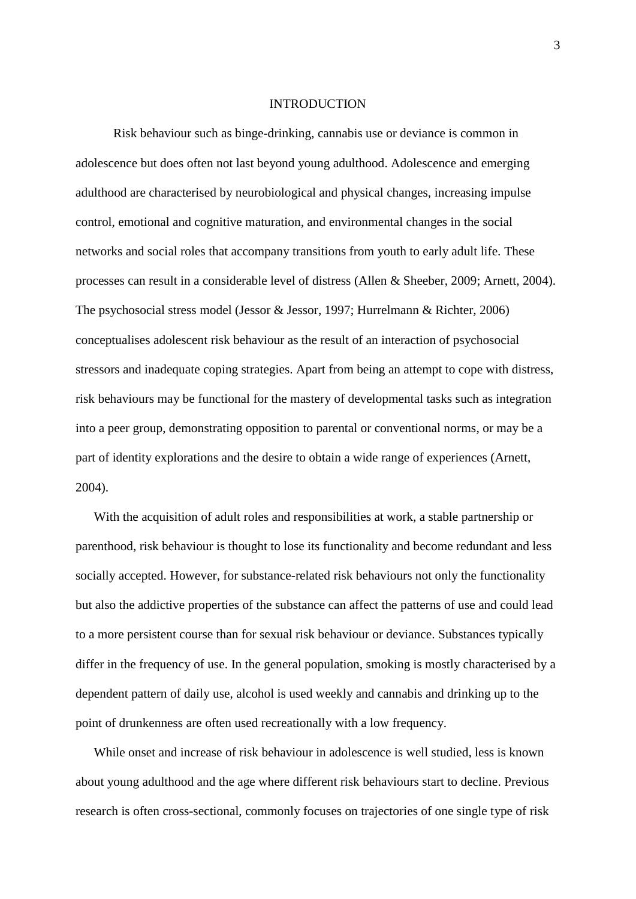#### INTRODUCTION

 Risk behaviour such as binge-drinking, cannabis use or deviance is common in adolescence but does often not last beyond young adulthood. Adolescence and emerging adulthood are characterised by neurobiological and physical changes, increasing impulse control, emotional and cognitive maturation, and environmental changes in the social networks and social roles that accompany transitions from youth to early adult life. These processes can result in a considerable level of distress (Allen & Sheeber, 2009; Arnett, 2004). The psychosocial stress model (Jessor & Jessor, 1997; Hurrelmann & Richter, 2006) conceptualises adolescent risk behaviour as the result of an interaction of psychosocial stressors and inadequate coping strategies. Apart from being an attempt to cope with distress, risk behaviours may be functional for the mastery of developmental tasks such as integration into a peer group, demonstrating opposition to parental or conventional norms, or may be a part of identity explorations and the desire to obtain a wide range of experiences (Arnett, 2004).

With the acquisition of adult roles and responsibilities at work, a stable partnership or parenthood, risk behaviour is thought to lose its functionality and become redundant and less socially accepted. However, for substance-related risk behaviours not only the functionality but also the addictive properties of the substance can affect the patterns of use and could lead to a more persistent course than for sexual risk behaviour or deviance. Substances typically differ in the frequency of use. In the general population, smoking is mostly characterised by a dependent pattern of daily use, alcohol is used weekly and cannabis and drinking up to the point of drunkenness are often used recreationally with a low frequency.

While onset and increase of risk behaviour in adolescence is well studied, less is known about young adulthood and the age where different risk behaviours start to decline. Previous research is often cross-sectional, commonly focuses on trajectories of one single type of risk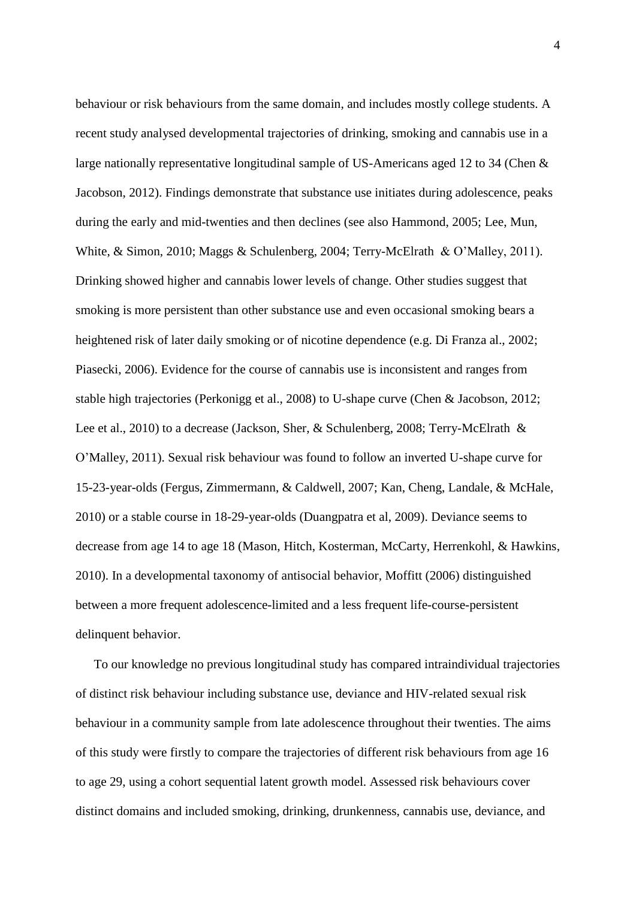behaviour or risk behaviours from the same domain, and includes mostly college students. A recent study analysed developmental trajectories of drinking, smoking and cannabis use in a large nationally representative longitudinal sample of US-Americans aged 12 to 34 (Chen & Jacobson, 2012). Findings demonstrate that substance use initiates during adolescence, peaks during the early and mid-twenties and then declines (see also Hammond, 2005; Lee, Mun, White, & Simon, 2010; Maggs & Schulenberg, 2004; Terry-McElrath & O'Malley, 2011). Drinking showed higher and cannabis lower levels of change. Other studies suggest that smoking is more persistent than other substance use and even occasional smoking bears a heightened risk of later daily smoking or of nicotine dependence (e.g. Di Franza al., 2002; Piasecki, 2006). Evidence for the course of cannabis use is inconsistent and ranges from stable high trajectories (Perkonigg et al., 2008) to U-shape curve (Chen & Jacobson, 2012; Lee et al., 2010) to a decrease (Jackson, Sher, & Schulenberg, 2008; Terry-McElrath & O'Malley, 2011). Sexual risk behaviour was found to follow an inverted U-shape curve for 15-23-year-olds (Fergus, Zimmermann, & Caldwell, 2007; Kan, Cheng, Landale, & McHale, 2010) or a stable course in 18-29-year-olds (Duangpatra et al, 2009). Deviance seems to decrease from age 14 to age 18 (Mason, Hitch, Kosterman, McCarty, Herrenkohl, & Hawkins, 2010). In a developmental taxonomy of antisocial behavior, Moffitt (2006) distinguished between a more frequent adolescence-limited and a less frequent life-course-persistent delinquent behavior.

To our knowledge no previous longitudinal study has compared intraindividual trajectories of distinct risk behaviour including substance use, deviance and HIV-related sexual risk behaviour in a community sample from late adolescence throughout their twenties. The aims of this study were firstly to compare the trajectories of different risk behaviours from age 16 to age 29, using a cohort sequential latent growth model. Assessed risk behaviours cover distinct domains and included smoking, drinking, drunkenness, cannabis use, deviance, and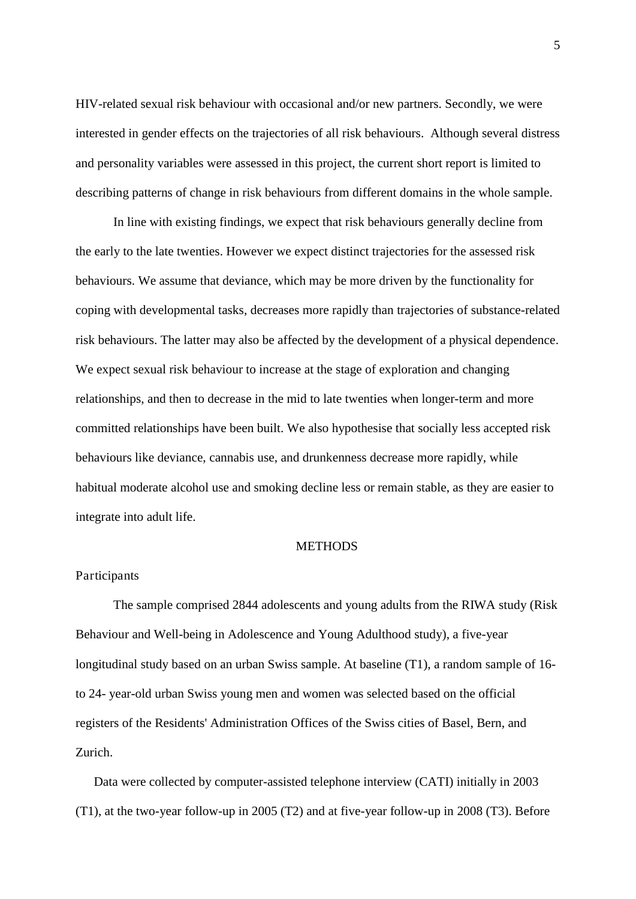HIV-related sexual risk behaviour with occasional and/or new partners. Secondly, we were interested in gender effects on the trajectories of all risk behaviours. Although several distress and personality variables were assessed in this project, the current short report is limited to describing patterns of change in risk behaviours from different domains in the whole sample.

 In line with existing findings, we expect that risk behaviours generally decline from the early to the late twenties. However we expect distinct trajectories for the assessed risk behaviours. We assume that deviance, which may be more driven by the functionality for coping with developmental tasks, decreases more rapidly than trajectories of substance-related risk behaviours. The latter may also be affected by the development of a physical dependence. We expect sexual risk behaviour to increase at the stage of exploration and changing relationships, and then to decrease in the mid to late twenties when longer-term and more committed relationships have been built. We also hypothesise that socially less accepted risk behaviours like deviance, cannabis use, and drunkenness decrease more rapidly, while habitual moderate alcohol use and smoking decline less or remain stable, as they are easier to integrate into adult life.

#### **METHODS**

#### Participants

 The sample comprised 2844 adolescents and young adults from the RIWA study (Risk Behaviour and Well-being in Adolescence and Young Adulthood study), a five-year longitudinal study based on an urban Swiss sample. At baseline (T1), a random sample of 16 to 24- year-old urban Swiss young men and women was selected based on the official registers of the Residents' Administration Offices of the Swiss cities of Basel, Bern, and Zurich.

Data were collected by computer-assisted telephone interview (CATI) initially in 2003 (T1), at the two-year follow-up in 2005 (T2) and at five-year follow-up in 2008 (T3). Before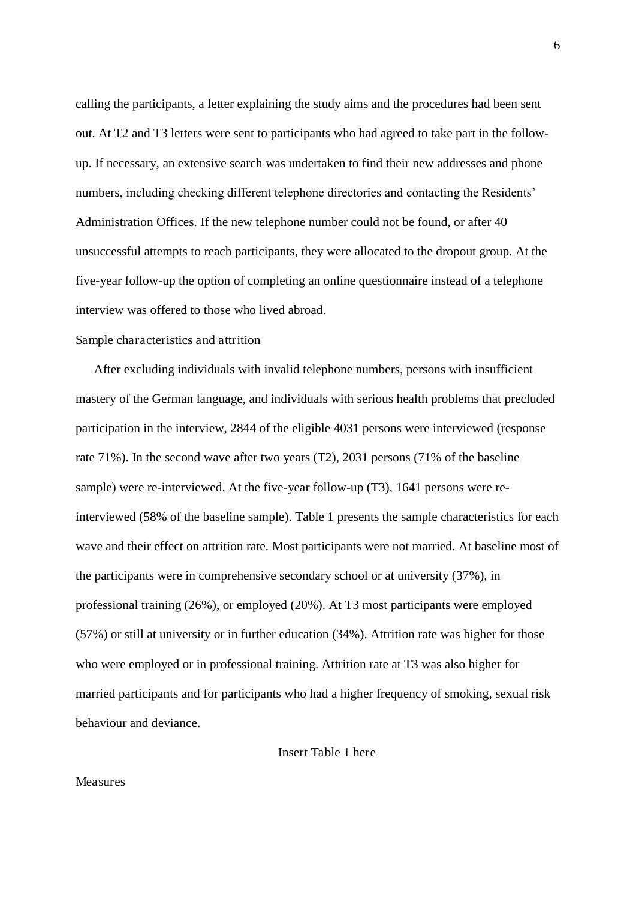calling the participants, a letter explaining the study aims and the procedures had been sent out. At T2 and T3 letters were sent to participants who had agreed to take part in the followup. If necessary, an extensive search was undertaken to find their new addresses and phone numbers, including checking different telephone directories and contacting the Residents' Administration Offices. If the new telephone number could not be found, or after 40 unsuccessful attempts to reach participants, they were allocated to the dropout group. At the five-year follow-up the option of completing an online questionnaire instead of a telephone interview was offered to those who lived abroad.

#### Sample characteristics and attrition

After excluding individuals with invalid telephone numbers, persons with insufficient mastery of the German language, and individuals with serious health problems that precluded participation in the interview, 2844 of the eligible 4031 persons were interviewed (response rate 71%). In the second wave after two years (T2), 2031 persons (71% of the baseline sample) were re-interviewed. At the five-year follow-up (T3), 1641 persons were reinterviewed (58% of the baseline sample). Table 1 presents the sample characteristics for each wave and their effect on attrition rate. Most participants were not married. At baseline most of the participants were in comprehensive secondary school or at university (37%), in professional training (26%), or employed (20%). At T3 most participants were employed (57%) or still at university or in further education (34%). Attrition rate was higher for those who were employed or in professional training. Attrition rate at T3 was also higher for married participants and for participants who had a higher frequency of smoking, sexual risk behaviour and deviance.

Insert Table 1 here

#### Measures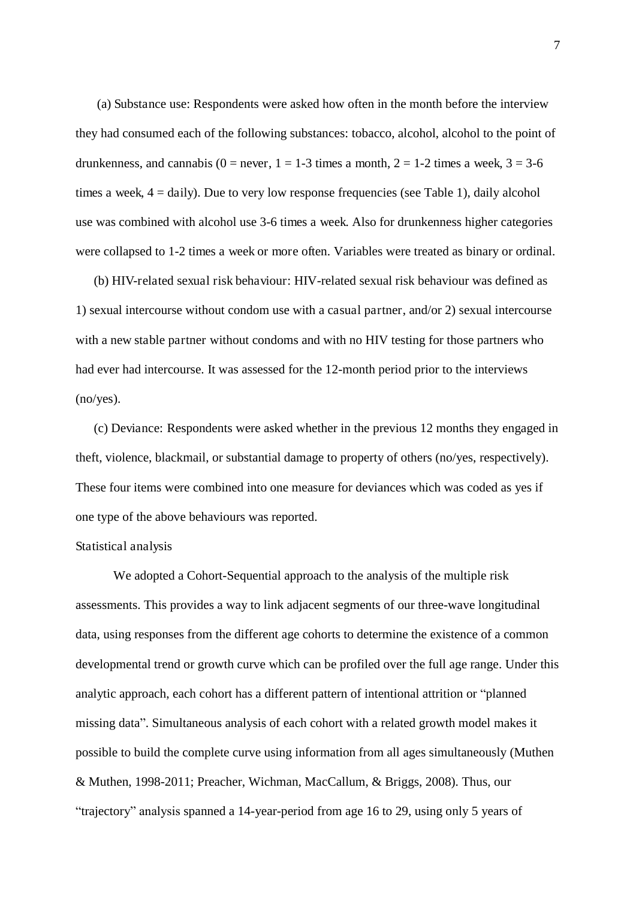(a) Substance use: Respondents were asked how often in the month before the interview they had consumed each of the following substances: tobacco, alcohol, alcohol to the point of drunkenness, and cannabis (0 = never, 1 = 1-3 times a month, 2 = 1-2 times a week,  $3 = 3-6$ times a week,  $4 = \text{daily}$ ). Due to very low response frequencies (see Table 1), daily alcohol use was combined with alcohol use 3-6 times a week. Also for drunkenness higher categories were collapsed to 1-2 times a week or more often. Variables were treated as binary or ordinal.

(b) HIV-related sexual risk behaviour: HIV-related sexual risk behaviour was defined as 1) sexual intercourse without condom use with a casual partner, and/or 2) sexual intercourse with a new stable partner without condoms and with no HIV testing for those partners who had ever had intercourse. It was assessed for the 12-month period prior to the interviews (no/yes).

(c) Deviance: Respondents were asked whether in the previous 12 months they engaged in theft, violence, blackmail, or substantial damage to property of others (no/yes, respectively). These four items were combined into one measure for deviances which was coded as yes if one type of the above behaviours was reported.

#### Statistical analysis

 We adopted a Cohort-Sequential approach to the analysis of the multiple risk assessments. This provides a way to link adjacent segments of our three-wave longitudinal data, using responses from the different age cohorts to determine the existence of a common developmental trend or growth curve which can be profiled over the full age range. Under this analytic approach, each cohort has a different pattern of intentional attrition or "planned missing data". Simultaneous analysis of each cohort with a related growth model makes it possible to build the complete curve using information from all ages simultaneously (Muthen & Muthen, 1998-2011; Preacher, Wichman, MacCallum, & Briggs, 2008). Thus, our "trajectory" analysis spanned a 14-year-period from age 16 to 29, using only 5 years of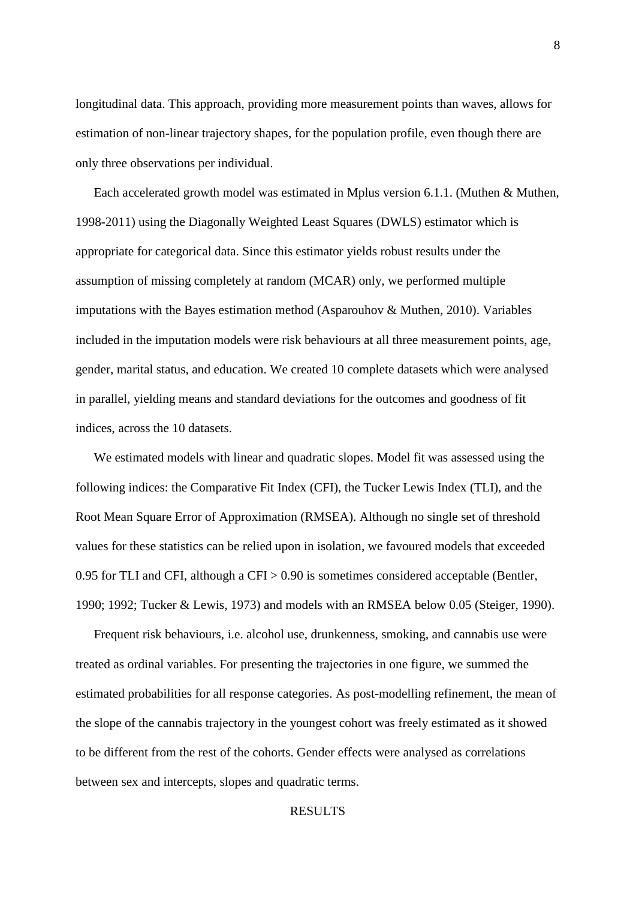longitudinal data. This approach, providing more measurement points than waves, allows for estimation of non-linear trajectory shapes, for the population profile, even though there are only three observations per individual.

Each accelerated growth model was estimated in Mplus version 6.1.1. (Muthen & Muthen, 1998-2011) using the Diagonally Weighted Least Squares (DWLS) estimator which is appropriate for categorical data. Since this estimator yields robust results under the assumption of missing completely at random (MCAR) only, we performed multiple imputations with the Bayes estimation method (Asparouhov & Muthen, 2010). Variables included in the imputation models were risk behaviours at all three measurement points, age, gender, marital status, and education. We created 10 complete datasets which were analysed in parallel, yielding means and standard deviations for the outcomes and goodness of fit indices, across the 10 datasets.

We estimated models with linear and quadratic slopes. Model fit was assessed using the following indices: the Comparative Fit Index (CFI), the Tucker Lewis Index (TLI), and the Root Mean Square Error of Approximation (RMSEA). Although no single set of threshold values for these statistics can be relied upon in isolation, we favoured models that exceeded 0.95 for TLI and CFI, although a CFI > 0.90 is sometimes considered acceptable (Bentler, 1990; 1992; Tucker & Lewis, 1973) and models with an RMSEA below 0.05 (Steiger, 1990).

Frequent risk behaviours, i.e. alcohol use, drunkenness, smoking, and cannabis use were treated as ordinal variables. For presenting the trajectories in one figure, we summed the estimated probabilities for all response categories. As post-modelling refinement, the mean of the slope of the cannabis trajectory in the youngest cohort was freely estimated as it showed to be different from the rest of the cohorts. Gender effects were analysed as correlations between sex and intercepts, slopes and quadratic terms.

#### RESULTS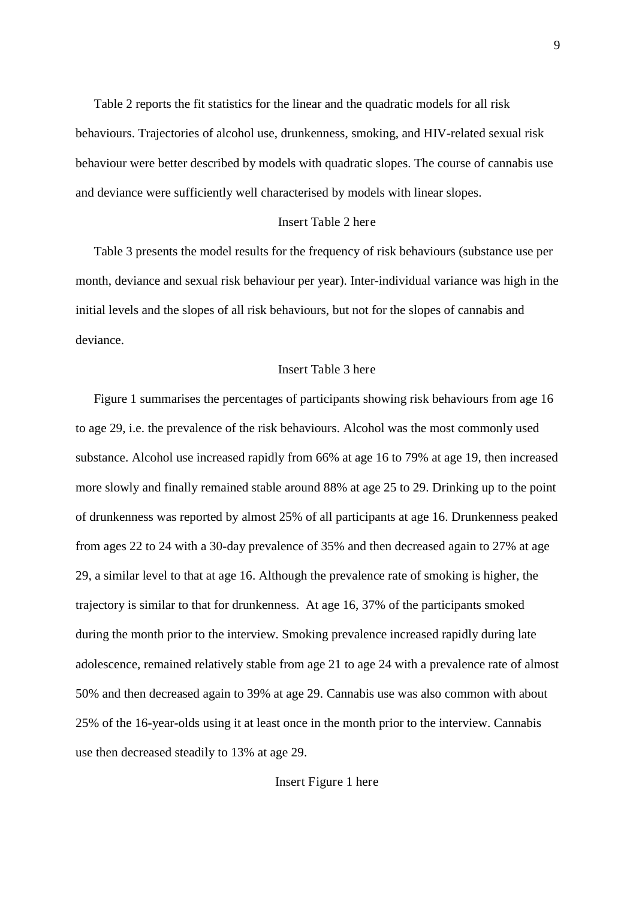Table 2 reports the fit statistics for the linear and the quadratic models for all risk behaviours. Trajectories of alcohol use, drunkenness, smoking, and HIV-related sexual risk behaviour were better described by models with quadratic slopes. The course of cannabis use and deviance were sufficiently well characterised by models with linear slopes.

#### Insert Table 2 here

Table 3 presents the model results for the frequency of risk behaviours (substance use per month, deviance and sexual risk behaviour per year). Inter-individual variance was high in the initial levels and the slopes of all risk behaviours, but not for the slopes of cannabis and deviance.

#### Insert Table 3 here

Figure 1 summarises the percentages of participants showing risk behaviours from age 16 to age 29, i.e. the prevalence of the risk behaviours. Alcohol was the most commonly used substance. Alcohol use increased rapidly from 66% at age 16 to 79% at age 19, then increased more slowly and finally remained stable around 88% at age 25 to 29. Drinking up to the point of drunkenness was reported by almost 25% of all participants at age 16. Drunkenness peaked from ages 22 to 24 with a 30-day prevalence of 35% and then decreased again to 27% at age 29, a similar level to that at age 16. Although the prevalence rate of smoking is higher, the trajectory is similar to that for drunkenness. At age 16, 37% of the participants smoked during the month prior to the interview. Smoking prevalence increased rapidly during late adolescence, remained relatively stable from age 21 to age 24 with a prevalence rate of almost 50% and then decreased again to 39% at age 29. Cannabis use was also common with about 25% of the 16-year-olds using it at least once in the month prior to the interview. Cannabis use then decreased steadily to 13% at age 29.

Insert Figure 1 here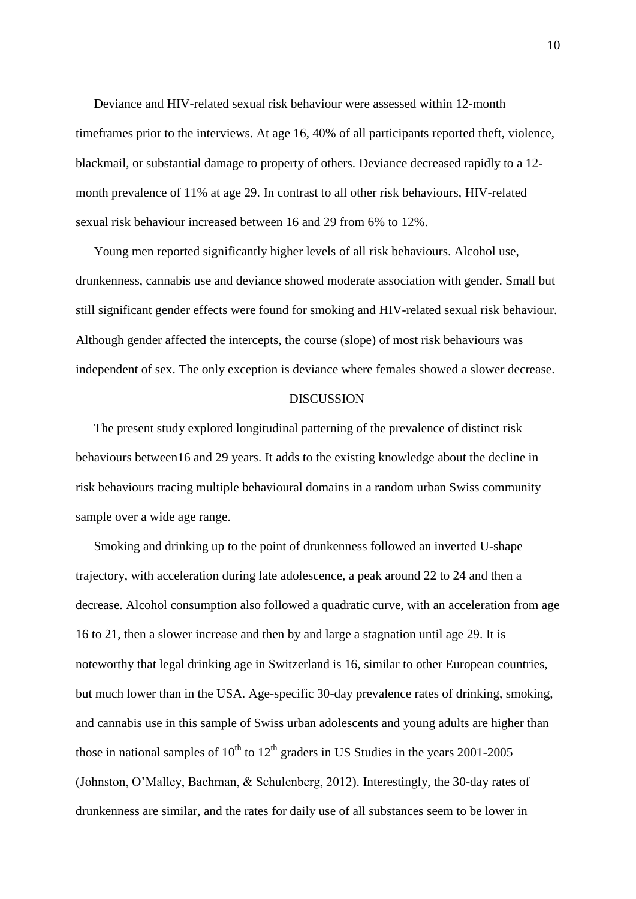Deviance and HIV-related sexual risk behaviour were assessed within 12-month timeframes prior to the interviews. At age 16, 40% of all participants reported theft, violence, blackmail, or substantial damage to property of others. Deviance decreased rapidly to a 12 month prevalence of 11% at age 29. In contrast to all other risk behaviours, HIV-related sexual risk behaviour increased between 16 and 29 from 6% to 12%.

Young men reported significantly higher levels of all risk behaviours. Alcohol use, drunkenness, cannabis use and deviance showed moderate association with gender. Small but still significant gender effects were found for smoking and HIV-related sexual risk behaviour. Although gender affected the intercepts, the course (slope) of most risk behaviours was independent of sex. The only exception is deviance where females showed a slower decrease.

#### **DISCUSSION**

The present study explored longitudinal patterning of the prevalence of distinct risk behaviours between16 and 29 years. It adds to the existing knowledge about the decline in risk behaviours tracing multiple behavioural domains in a random urban Swiss community sample over a wide age range.

Smoking and drinking up to the point of drunkenness followed an inverted U-shape trajectory, with acceleration during late adolescence, a peak around 22 to 24 and then a decrease. Alcohol consumption also followed a quadratic curve, with an acceleration from age 16 to 21, then a slower increase and then by and large a stagnation until age 29. It is noteworthy that legal drinking age in Switzerland is 16, similar to other European countries, but much lower than in the USA. Age-specific 30-day prevalence rates of drinking, smoking, and cannabis use in this sample of Swiss urban adolescents and young adults are higher than those in national samples of  $10^{th}$  to  $12^{th}$  graders in US Studies in the years 2001-2005 (Johnston, O'Malley, Bachman, & Schulenberg, 2012). Interestingly, the 30-day rates of drunkenness are similar, and the rates for daily use of all substances seem to be lower in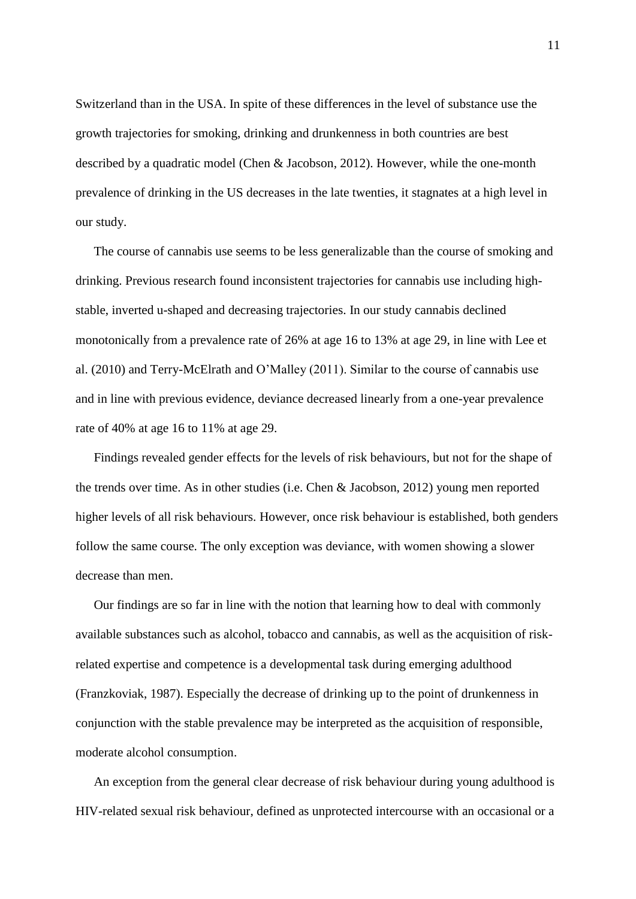Switzerland than in the USA. In spite of these differences in the level of substance use the growth trajectories for smoking, drinking and drunkenness in both countries are best described by a quadratic model (Chen & Jacobson, 2012). However, while the one-month prevalence of drinking in the US decreases in the late twenties, it stagnates at a high level in our study.

The course of cannabis use seems to be less generalizable than the course of smoking and drinking. Previous research found inconsistent trajectories for cannabis use including highstable, inverted u-shaped and decreasing trajectories. In our study cannabis declined monotonically from a prevalence rate of 26% at age 16 to 13% at age 29, in line with Lee et al. (2010) and Terry-McElrath and O'Malley (2011). Similar to the course of cannabis use and in line with previous evidence, deviance decreased linearly from a one-year prevalence rate of 40% at age 16 to 11% at age 29.

Findings revealed gender effects for the levels of risk behaviours, but not for the shape of the trends over time. As in other studies (i.e. Chen & Jacobson, 2012) young men reported higher levels of all risk behaviours. However, once risk behaviour is established, both genders follow the same course. The only exception was deviance, with women showing a slower decrease than men.

Our findings are so far in line with the notion that learning how to deal with commonly available substances such as alcohol, tobacco and cannabis, as well as the acquisition of riskrelated expertise and competence is a developmental task during emerging adulthood (Franzkoviak, 1987). Especially the decrease of drinking up to the point of drunkenness in conjunction with the stable prevalence may be interpreted as the acquisition of responsible, moderate alcohol consumption.

An exception from the general clear decrease of risk behaviour during young adulthood is HIV-related sexual risk behaviour, defined as unprotected intercourse with an occasional or a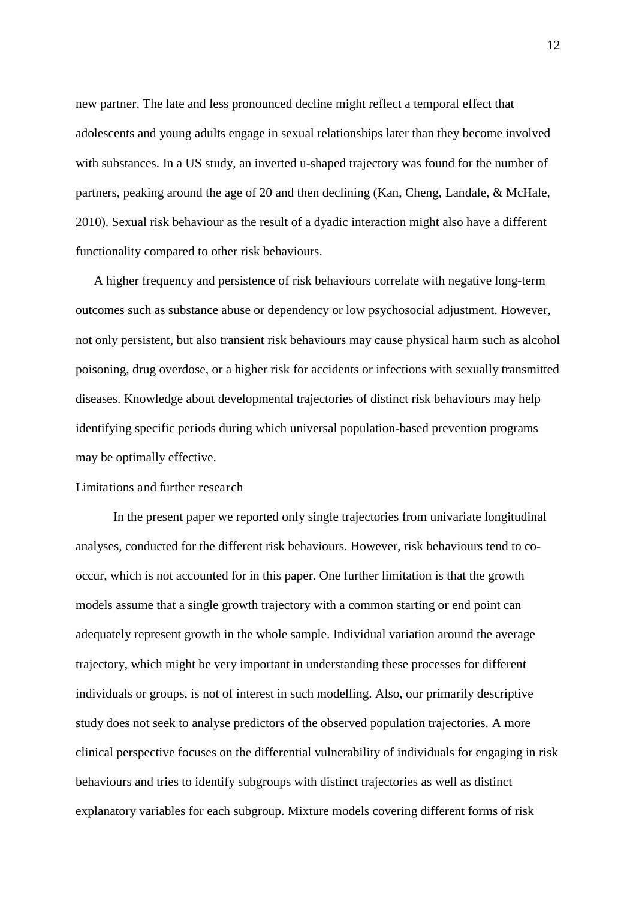new partner. The late and less pronounced decline might reflect a temporal effect that adolescents and young adults engage in sexual relationships later than they become involved with substances. In a US study, an inverted u-shaped trajectory was found for the number of partners, peaking around the age of 20 and then declining (Kan, Cheng, Landale, & McHale, 2010). Sexual risk behaviour as the result of a dyadic interaction might also have a different functionality compared to other risk behaviours.

A higher frequency and persistence of risk behaviours correlate with negative long-term outcomes such as substance abuse or dependency or low psychosocial adjustment. However, not only persistent, but also transient risk behaviours may cause physical harm such as alcohol poisoning, drug overdose, or a higher risk for accidents or infections with sexually transmitted diseases. Knowledge about developmental trajectories of distinct risk behaviours may help identifying specific periods during which universal population-based prevention programs may be optimally effective.

#### Limitations and further research

 In the present paper we reported only single trajectories from univariate longitudinal analyses, conducted for the different risk behaviours. However, risk behaviours tend to cooccur, which is not accounted for in this paper. One further limitation is that the growth models assume that a single growth trajectory with a common starting or end point can adequately represent growth in the whole sample. Individual variation around the average trajectory, which might be very important in understanding these processes for different individuals or groups, is not of interest in such modelling. Also, our primarily descriptive study does not seek to analyse predictors of the observed population trajectories. A more clinical perspective focuses on the differential vulnerability of individuals for engaging in risk behaviours and tries to identify subgroups with distinct trajectories as well as distinct explanatory variables for each subgroup. Mixture models covering different forms of risk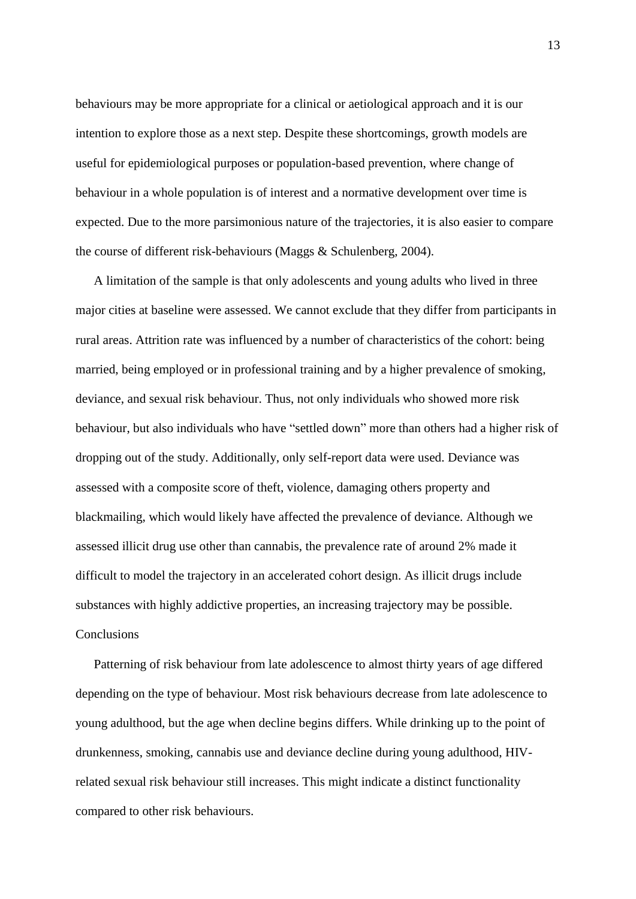behaviours may be more appropriate for a clinical or aetiological approach and it is our intention to explore those as a next step. Despite these shortcomings, growth models are useful for epidemiological purposes or population-based prevention, where change of behaviour in a whole population is of interest and a normative development over time is expected. Due to the more parsimonious nature of the trajectories, it is also easier to compare the course of different risk-behaviours (Maggs & Schulenberg, 2004).

A limitation of the sample is that only adolescents and young adults who lived in three major cities at baseline were assessed. We cannot exclude that they differ from participants in rural areas. Attrition rate was influenced by a number of characteristics of the cohort: being married, being employed or in professional training and by a higher prevalence of smoking, deviance, and sexual risk behaviour. Thus, not only individuals who showed more risk behaviour, but also individuals who have "settled down" more than others had a higher risk of dropping out of the study. Additionally, only self-report data were used. Deviance was assessed with a composite score of theft, violence, damaging others property and blackmailing, which would likely have affected the prevalence of deviance. Although we assessed illicit drug use other than cannabis, the prevalence rate of around 2% made it difficult to model the trajectory in an accelerated cohort design. As illicit drugs include substances with highly addictive properties, an increasing trajectory may be possible. Conclusions

Patterning of risk behaviour from late adolescence to almost thirty years of age differed depending on the type of behaviour. Most risk behaviours decrease from late adolescence to young adulthood, but the age when decline begins differs. While drinking up to the point of drunkenness, smoking, cannabis use and deviance decline during young adulthood, HIVrelated sexual risk behaviour still increases. This might indicate a distinct functionality compared to other risk behaviours.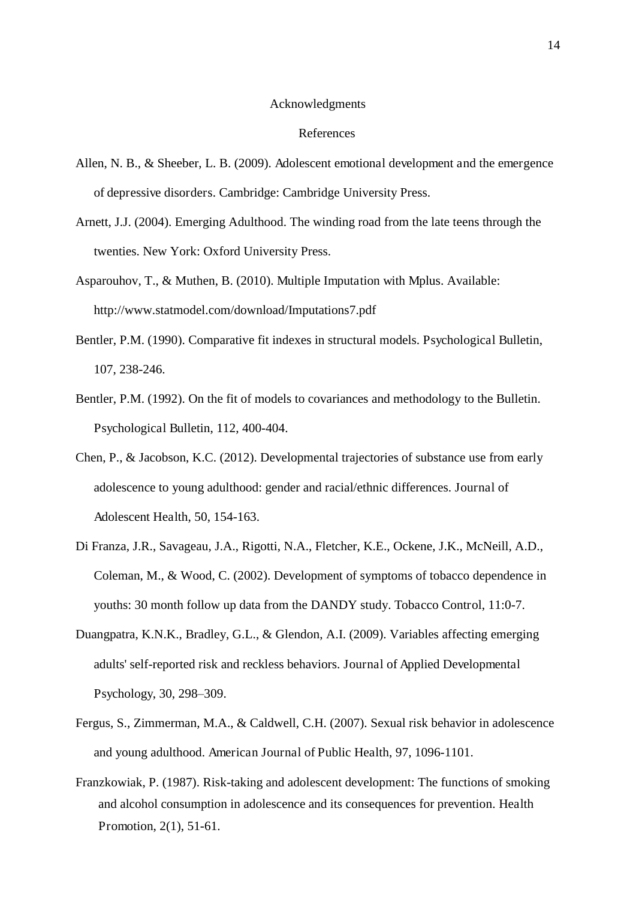#### Acknowledgments

#### References

- Allen, N. B., & Sheeber, L. B. (2009). Adolescent emotional development and the emergence of depressive disorders. Cambridge: Cambridge University Press.
- Arnett, J.J. (2004). Emerging Adulthood. The winding road from the late teens through the twenties. New York: Oxford University Press.
- Asparouhov, T., & Muthen, B. (2010). Multiple Imputation with Mplus. Available: http://www.statmodel.com/download/Imputations7.pdf
- Bentler, P.M. (1990). Comparative fit indexes in structural models. Psychological Bulletin, 107, 238-246.
- Bentler, P.M. (1992). On the fit of models to covariances and methodology to the Bulletin. Psychological Bulletin, 112, 400-404.
- Chen, P., & Jacobson, K.C. (2012). Developmental trajectories of substance use from early adolescence to young adulthood: gender and racial/ethnic differences. Journal of Adolescent Health, 50, 154-163.
- Di Franza, J.R., Savageau, J.A., Rigotti, N.A., Fletcher, K.E., Ockene, J.K., McNeill, A.D., Coleman, M., & Wood, C. (2002). Development of symptoms of tobacco dependence in youths: 30 month follow up data from the DANDY study. Tobacco Control, 11:0-7.
- Duangpatra, K.N.K., Bradley, G.L., & Glendon, A.I. (2009). Variables affecting emerging adults' self-reported risk and reckless behaviors. Journal of Applied Developmental Psychology, 30, 298–309.
- Fergus, S., Zimmerman, M.A., & Caldwell, C.H. (2007). Sexual risk behavior in adolescence and young adulthood. American Journal of Public Health, 97, 1096-1101.
- Franzkowiak, P. (1987). Risk-taking and adolescent development: The functions of smoking and alcohol consumption in adolescence and its consequences for prevention. Health Promotion, 2(1), 51-61.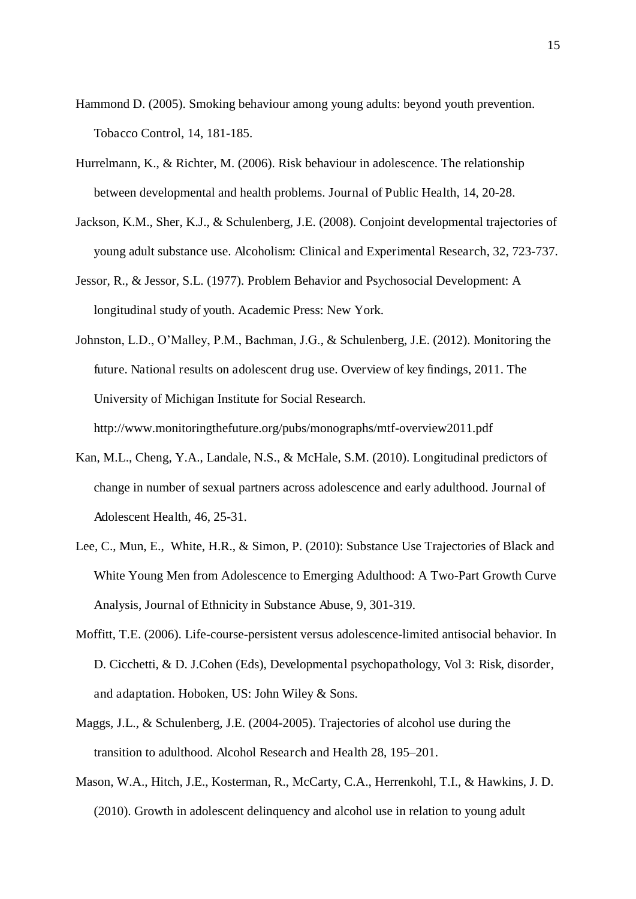- Hammond D. (2005). Smoking behaviour among young adults: beyond youth prevention. Tobacco Control, 14, 181-185.
- Hurrelmann, K., & Richter, M. (2006). Risk behaviour in adolescence. The relationship between developmental and health problems. Journal of Public Health, 14, 20-28.
- Jackson, K.M., Sher, K.J., & Schulenberg, J.E. (2008). Conjoint developmental trajectories of young adult substance use. Alcoholism: Clinical and Experimental Research, 32, 723-737.
- Jessor, R., & Jessor, S.L. (1977). Problem Behavior and Psychosocial Development: A longitudinal study of youth. Academic Press: New York.
- Johnston, L.D., O'Malley, P.M., Bachman, J.G., & Schulenberg, J.E. (2012). Monitoring the future. National results on adolescent drug use. Overview of key findings, 2011. The University of Michigan Institute for Social Research.

http://www.monitoringthefuture.org/pubs/monographs/mtf-overview2011.pdf

- Kan, M.L., Cheng, Y.A., Landale, N.S., & McHale, S.M. (2010). Longitudinal predictors of change in number of sexual partners across adolescence and early adulthood. Journal of Adolescent Health, 46, 25-31.
- Lee, C., Mun, E., White, H.R., & Simon, P. (2010): Substance Use Trajectories of Black and White Young Men from Adolescence to Emerging Adulthood: A Two-Part Growth Curve Analysis, Journal of Ethnicity in Substance Abuse, 9, 301-319.
- Moffitt, T.E. (2006). Life-course-persistent versus adolescence-limited antisocial behavior. In D. Cicchetti, & D. J.Cohen (Eds), Developmental psychopathology, Vol 3: Risk, disorder, and adaptation. Hoboken, US: John Wiley & Sons.
- Maggs, J.L., & Schulenberg, J.E. (2004-2005). Trajectories of alcohol use during the transition to adulthood. Alcohol Research and Health 28, 195–201.
- Mason, W.A., Hitch, J.E., Kosterman, R., McCarty, C.A., Herrenkohl, T.I., & Hawkins, J. D. (2010). Growth in adolescent delinquency and alcohol use in relation to young adult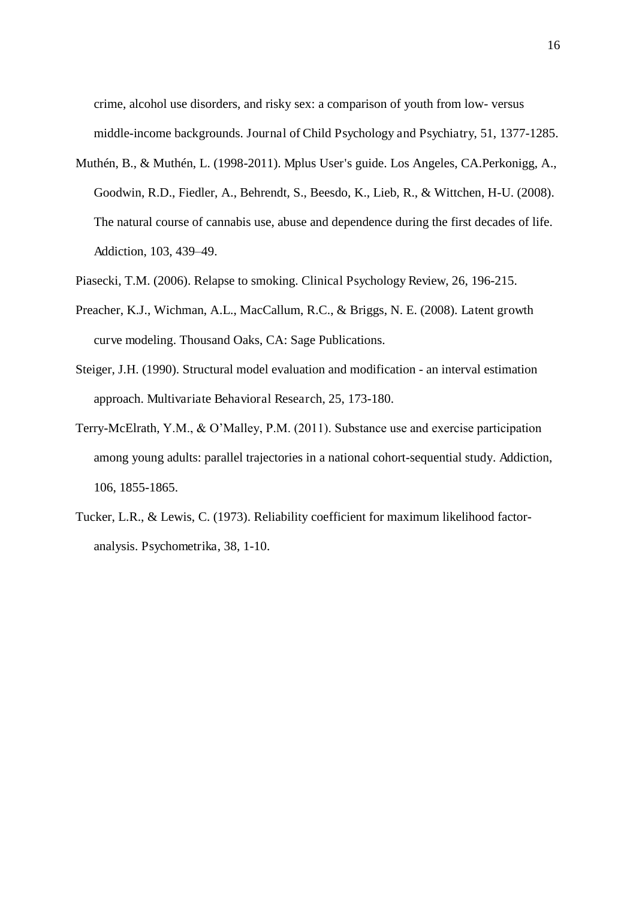crime, alcohol use disorders, and risky sex: a comparison of youth from low- versus middle-income backgrounds. Journal of Child Psychology and Psychiatry, 51, 1377-1285.

- Muthén, B., & Muthén, L. (1998-2011). Mplus User's guide. Los Angeles, CA.Perkonigg, A., Goodwin, R.D., Fiedler, A., Behrendt, S., Beesdo, K., Lieb, R., & Wittchen, H-U. (2008). The natural course of cannabis use, abuse and dependence during the first decades of life. Addiction, 103, 439–49.
- Piasecki, T.M. (2006). Relapse to smoking. Clinical Psychology Review, 26, 196-215.
- Preacher, K.J., Wichman, A.L., MacCallum, R.C., & Briggs, N. E. (2008). Latent growth curve modeling. Thousand Oaks, CA: Sage Publications.
- Steiger, J.H. (1990). Structural model evaluation and modification an interval estimation approach. Multivariate Behavioral Research, 25, 173-180.
- Terry-McElrath, Y.M., & O'Malley, P.M. (2011). Substance use and exercise participation among young adults: parallel trajectories in a national cohort-sequential study. Addiction, 106, 1855-1865.
- Tucker, L.R., & Lewis, C. (1973). Reliability coefficient for maximum likelihood factoranalysis. Psychometrika, 38, 1-10.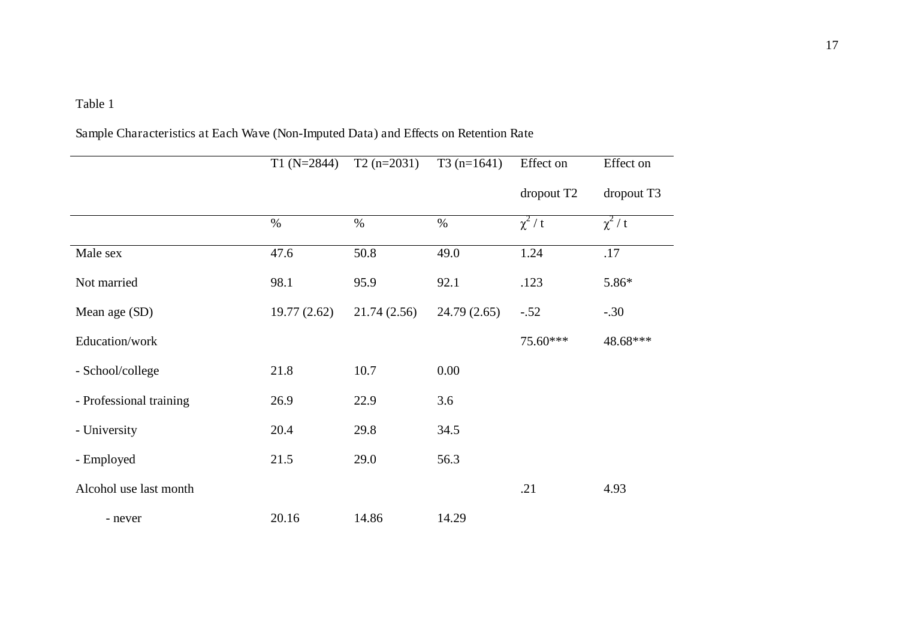## Table 1

Sample Characteristics at Each Wave (Non-Imputed Data) and Effects on Retention Rate

|                         | $T1(N=2844)$ | $T2(n=2031)$ | $T3(n=1641)$ | Effect on              | Effect on  |
|-------------------------|--------------|--------------|--------------|------------------------|------------|
|                         |              |              |              | dropout T <sub>2</sub> | dropout T3 |
|                         | $\%$         | $\%$         | $\%$         | $\chi^2/t$             | $\chi^2/t$ |
| Male sex                | 47.6         | 50.8         | 49.0         | 1.24                   | .17        |
| Not married             | 98.1         | 95.9         | 92.1         | .123                   | $5.86*$    |
| Mean age (SD)           | 19.77(2.62)  | 21.74(2.56)  | 24.79(2.65)  | $-.52$                 | $-.30$     |
| Education/work          |              |              |              | 75.60***               | 48.68***   |
| - School/college        | 21.8         | 10.7         | 0.00         |                        |            |
| - Professional training | 26.9         | 22.9         | 3.6          |                        |            |
| - University            | 20.4         | 29.8         | 34.5         |                        |            |
| - Employed              | 21.5         | 29.0         | 56.3         |                        |            |
| Alcohol use last month  |              |              |              | .21                    | 4.93       |
| - never                 | 20.16        | 14.86        | 14.29        |                        |            |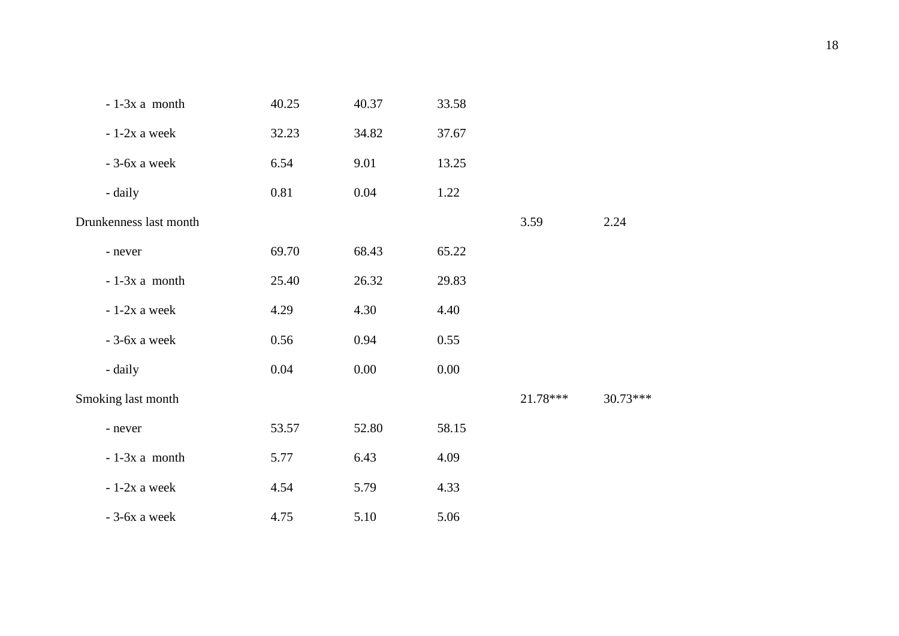| $-1-3x$ a month        | 40.25 | 40.37 | 33.58    |          |            |
|------------------------|-------|-------|----------|----------|------------|
| $-1-2x$ a week         | 32.23 | 34.82 | 37.67    |          |            |
| $-3-6x$ a week         | 6.54  | 9.01  | 13.25    |          |            |
| - daily                | 0.81  | 0.04  | 1.22     |          |            |
| Drunkenness last month |       |       |          | 3.59     | 2.24       |
| - never                | 69.70 | 68.43 | 65.22    |          |            |
| $-1-3x$ a month        | 25.40 | 26.32 | 29.83    |          |            |
| $-1-2x$ a week         | 4.29  | 4.30  | 4.40     |          |            |
| $-3-6x$ a week         | 0.56  | 0.94  | 0.55     |          |            |
| - daily                | 0.04  | 0.00  | $0.00\,$ |          |            |
| Smoking last month     |       |       |          | 21.78*** | $30.73***$ |
| - never                | 53.57 | 52.80 | 58.15    |          |            |
| $-1-3x$ a month        | 5.77  | 6.43  | 4.09     |          |            |
| $-1-2x$ a week         | 4.54  | 5.79  | 4.33     |          |            |
| $-3-6x$ a week         | 4.75  | 5.10  | 5.06     |          |            |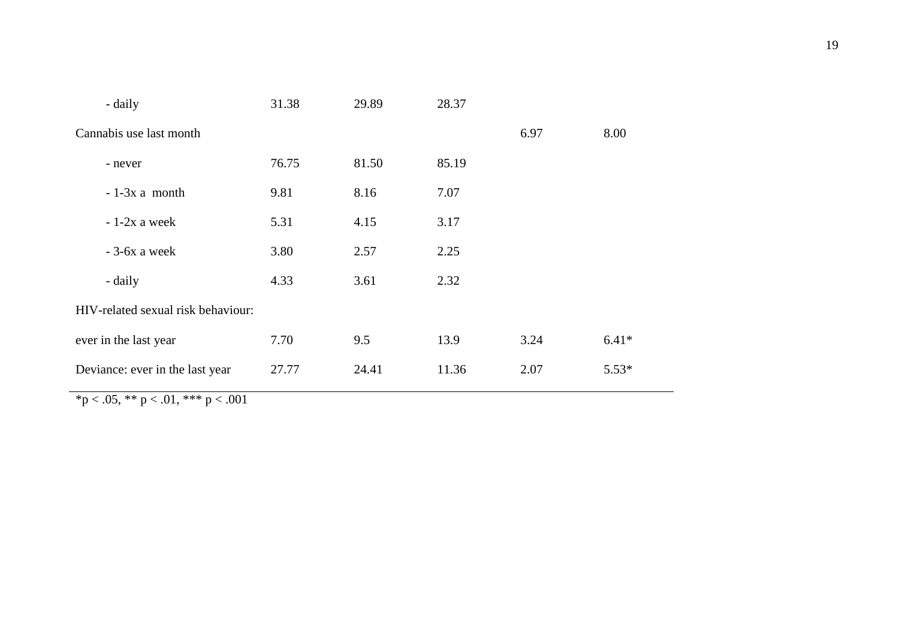| - daily                            | 31.38 | 29.89 | 28.37 |      |         |
|------------------------------------|-------|-------|-------|------|---------|
| Cannabis use last month            |       |       |       | 6.97 | 8.00    |
| - never                            | 76.75 | 81.50 | 85.19 |      |         |
| $-1-3x$ a month                    | 9.81  | 8.16  | 7.07  |      |         |
| $-1-2x$ a week                     | 5.31  | 4.15  | 3.17  |      |         |
| $-3-6x$ a week                     | 3.80  | 2.57  | 2.25  |      |         |
| - daily                            | 4.33  | 3.61  | 2.32  |      |         |
| HIV-related sexual risk behaviour: |       |       |       |      |         |
| ever in the last year              | 7.70  | 9.5   | 13.9  | 3.24 | $6.41*$ |
| Deviance: ever in the last year    | 27.77 | 24.41 | 11.36 | 2.07 | $5.53*$ |
|                                    |       |       |       |      |         |

 $\frac{1}{2}$  \*p < .05, \*\* p < .01, \*\*\* p < .001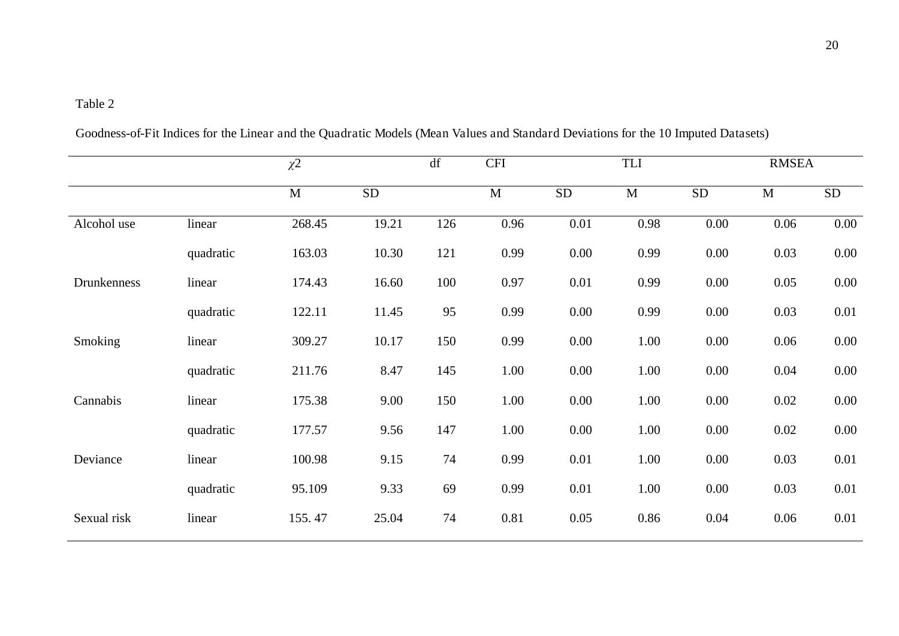## Table 2

|             |           | $\chi^2$     |            | df  | <b>CFI</b>  | TLI       |             |            | <b>RMSEA</b> |            |
|-------------|-----------|--------------|------------|-----|-------------|-----------|-------------|------------|--------------|------------|
|             |           | $\mathbf{M}$ | ${\rm SD}$ |     | $\mathbf M$ | <b>SD</b> | $\mathbf M$ | ${\rm SD}$ | $\mathbf{M}$ | ${\rm SD}$ |
| Alcohol use | linear    | 268.45       | 19.21      | 126 | 0.96        | 0.01      | 0.98        | $0.00\,$   | 0.06         | 0.00       |
|             | quadratic | 163.03       | 10.30      | 121 | 0.99        | 0.00      | 0.99        | 0.00       | 0.03         | 0.00       |
| Drunkenness | linear    | 174.43       | 16.60      | 100 | 0.97        | 0.01      | 0.99        | 0.00       | 0.05         | 0.00       |
|             | quadratic | 122.11       | 11.45      | 95  | 0.99        | 0.00      | 0.99        | 0.00       | 0.03         | 0.01       |
| Smoking     | linear    | 309.27       | 10.17      | 150 | 0.99        | 0.00      | 1.00        | 0.00       | 0.06         | $0.00\,$   |
|             | quadratic | 211.76       | 8.47       | 145 | 1.00        | 0.00      | 1.00        | 0.00       | 0.04         | 0.00       |
| Cannabis    | linear    | 175.38       | 9.00       | 150 | 1.00        | 0.00      | 1.00        | 0.00       | 0.02         | 0.00       |
|             | quadratic | 177.57       | 9.56       | 147 | 1.00        | 0.00      | 1.00        | 0.00       | 0.02         | $0.00\,$   |
| Deviance    | linear    | 100.98       | 9.15       | 74  | 0.99        | 0.01      | 1.00        | 0.00       | 0.03         | 0.01       |
|             | quadratic | 95.109       | 9.33       | 69  | 0.99        | 0.01      | 1.00        | 0.00       | 0.03         | 0.01       |
| Sexual risk | linear    | 155.47       | 25.04      | 74  | 0.81        | 0.05      | 0.86        | 0.04       | 0.06         | 0.01       |
|             |           |              |            |     |             |           |             |            |              |            |

Goodness-of-Fit Indices for the Linear and the Quadratic Models (Mean Values and Standard Deviations for the 10 Imputed Datasets)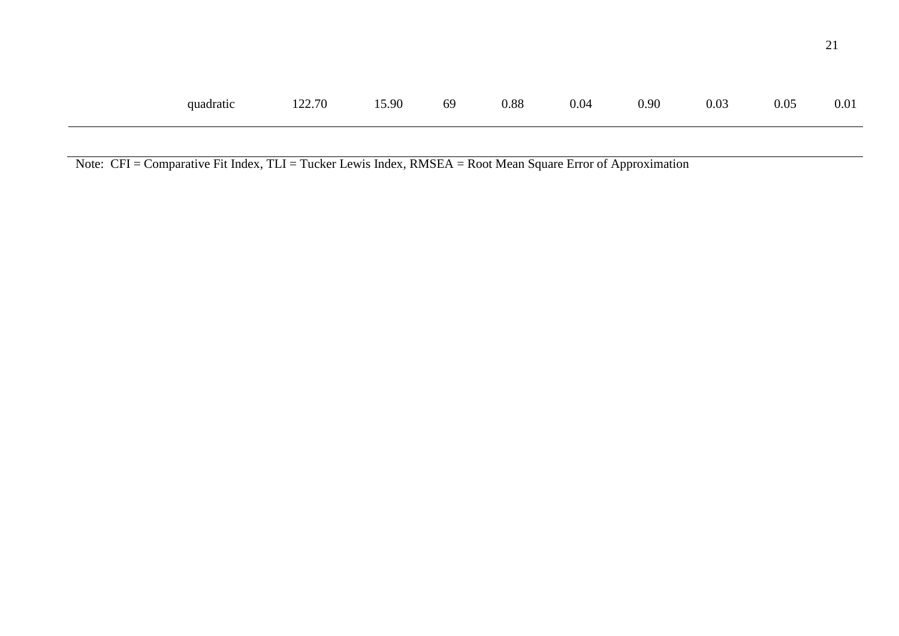| quadratic 122.70 15.90 69 0.88 0.04 0.90 0.03 0.05 0.01 |  |  |  |  |
|---------------------------------------------------------|--|--|--|--|
|                                                         |  |  |  |  |

Note: CFI = Comparative Fit Index, TLI = Tucker Lewis Index, RMSEA = Root Mean Square Error of Approximation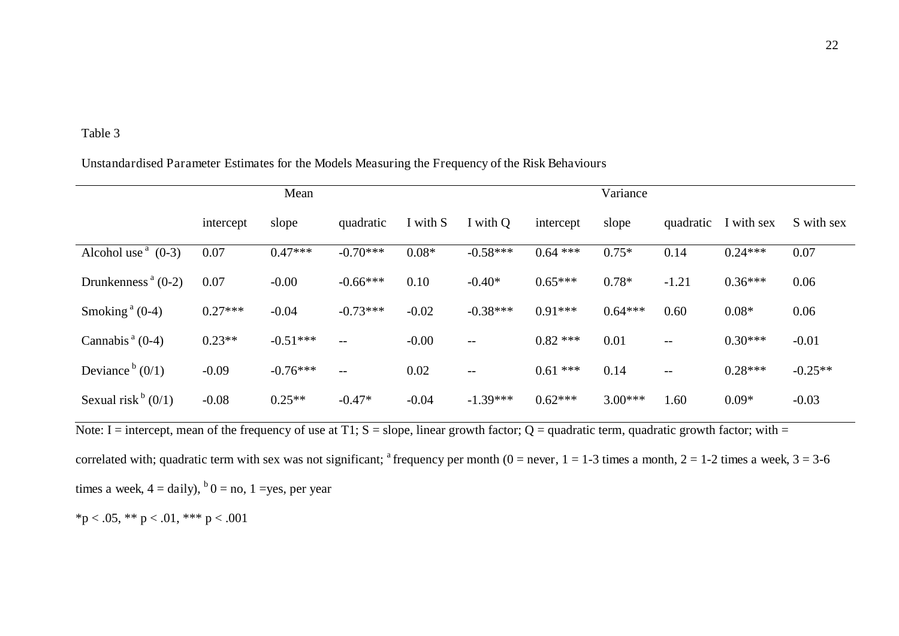#### Table 3

#### Unstandardised Parameter Estimates for the Models Measuring the Frequency of the Risk Behaviours

|                                  | Mean      |            |            |          | Variance          |            |           |           |            |            |
|----------------------------------|-----------|------------|------------|----------|-------------------|------------|-----------|-----------|------------|------------|
|                                  | intercept | slope      | quadratic  | I with S | I with Q          | intercept  | slope     | quadratic | I with sex | S with sex |
| Alcohol use $(0-3)$              | 0.07      | $0.47***$  | $-0.70***$ | $0.08*$  | $-0.58***$        | $0.64$ *** | $0.75*$   | 0.14      | $0.24***$  | 0.07       |
| Drunkenness <sup>a</sup> $(0-2)$ | 0.07      | $-0.00$    | $-0.66***$ | 0.10     | $-0.40*$          | $0.65***$  | $0.78*$   | $-1.21$   | $0.36***$  | 0.06       |
| Smoking <sup>a</sup> $(0-4)$     | $0.27***$ | $-0.04$    | $-0.73***$ | $-0.02$  | $-0.38***$        | $0.91***$  | $0.64***$ | 0.60      | $0.08*$    | 0.06       |
| Cannabis $a(0-4)$                | $0.23**$  | $-0.51***$ | $-$        | $-0.00$  | $- -$             | $0.82$ *** | 0.01      | $--$      | $0.30***$  | $-0.01$    |
| Deviance $(0/1)$                 | $-0.09$   | $-0.76***$ | $-$        | 0.02     | $\qquad \qquad -$ | $0.61***$  | 0.14      | $-$       | $0.28***$  | $-0.25**$  |
| Sexual risk $(0/1)$              | $-0.08$   | $0.25**$   | $-0.47*$   | $-0.04$  | $-1.39***$        | $0.62***$  | $3.00***$ | 1.60      | $0.09*$    | $-0.03$    |

Note: I = intercept, mean of the frequency of use at T1; S = slope, linear growth factor; Q = quadratic term, quadratic growth factor; with = correlated with; quadratic term with sex was not significant; <sup>a</sup> frequency per month ( $0 =$  never,  $1 = 1$ -3 times a month,  $2 = 1$ -2 times a week,  $3 = 3$ -6 times a week,  $4 = \text{daily}$ ,  $b = \text{no}$ ,  $1 = \text{yes}$ , per year

\*p < .05, \*\* p < .01, \*\*\* p < .001